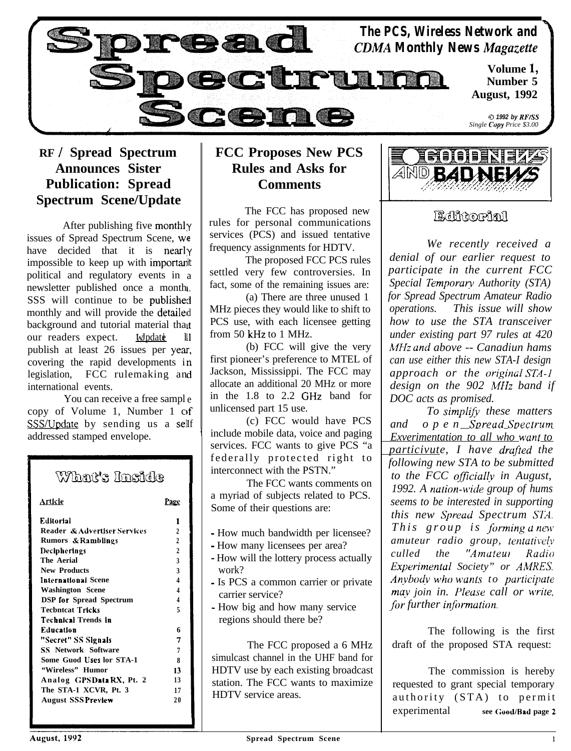

## **RF / Spread Spectrum Announces Sister Publication: Spread Spectrum Scene/Update**

After publishing five monthly issues of Spread Spectrum Scene, we have decided that it is nearly impossible to keep up with important political and regulatory events in a newsletter published once a month SSS will continue to be published monthly and will provide the detailel d background and tutorial material that our readers expect. Windate publish at least 26 issues per year, covering the rapid developments i essenting the rapid developments in international events. 11

You can receive a free sampl e copy of Volume 1, Number 1 of SSS/Update by sending us a self addressed stamped envelope.

#### What's Inside Article Page **Editorial** 1 **Reader & Advetltser Servlccs 2 Rumors si RambUngs <sup>2</sup> Dcclphcrtngs 2 The Aerial 3 New Products 3** International Scene 4 **Washington Scene 4 DSP lor Spread Spectrum 4 Tecbntcat Tricks 5 Tcchntcai Trends In Education** 6 **"Secrel" SS Stgnats 7 SS Network Software 7 Some Guod Uses lor STA-1** 8 **"Wireless" Humor 13 Analog GPS Data RX, Pt. 2 13 The STA-1 XCVR, Pt. 3 17 August SSS Preview 2 0**

## **FCC Proposes New PCS Rules and Asks for Comments**

The FCC has proposed new rules for personal communications services (PCS) and issued tentative frequency assignments for HDTV.

The proposed FCC PCS rules settled very few controversies. In fact, some of the remaining issues are:

(a) There are three unused 1 MHz pieces they would like to shift to PCS use, with each licensee getting from 50 kHz to 1 MHz.

(b) FCC will give the very first pioneer's preference to MTEL of Jackson, Mississippi. The FCC may allocate an additional 20 MHz or more in the 1.8 to 2.2 GHz band for unlicensed part 15 use.

(c) FCC would have PCS include mobile data, voice and paging services. FCC wants to give PCS "a federally protected right to interconnect with the PSTN."

I

The FCC wants comments on a myriad of subjects related to PCS. Some of their questions are:

- How much bandwidth per licensee?
- How many licensees per area?
- How will the lottery process actually work?
- Is PCS a common carrier or private carrier service?
- How big and how many service regions should there be?

The FCC proposed a 6 MHz simulcast channel in the UHF band for HDTV use by each existing broadcast station. The FCC wants to maximize HDTV service areas.



## Billitoriall

<u>ا</u>

*We recently received a denial of our earlier request to participate in the current FCC Special Temporar?, Authority (STA) for Spread Spectrum Amateur Radio operations. This issue will show how to use the STA transceiver under existing part 97 rules at 420 MHz ana' above -- Canadiun hams can use either this new STA-I design approach or the originaI STA-1* design on the 902 MHz band if *DOC acts as promised.*

*To simplify, these matters and open Sureud Soectrum Exverimentation to all who wunt to particivute, I have drufted the following new STA to be submitted* to the FCC officially in August, *1992. A nution-\ivide group of hums seems to be interested in supporting this new Qread Spectrum SIX This group is forming a new amuteur radio group, tentutive!v culled the 'Amuteu! Radio Experimentul Society" or AMRES. Anvbodv who bcunts to purticipate may join in. Please call or write, for further information.* 

The following is the first draft of the proposed STA request:

The commission is hereby requested to grant special temporary authority (STA) to permit experimental **see (:ood/Rad page 2**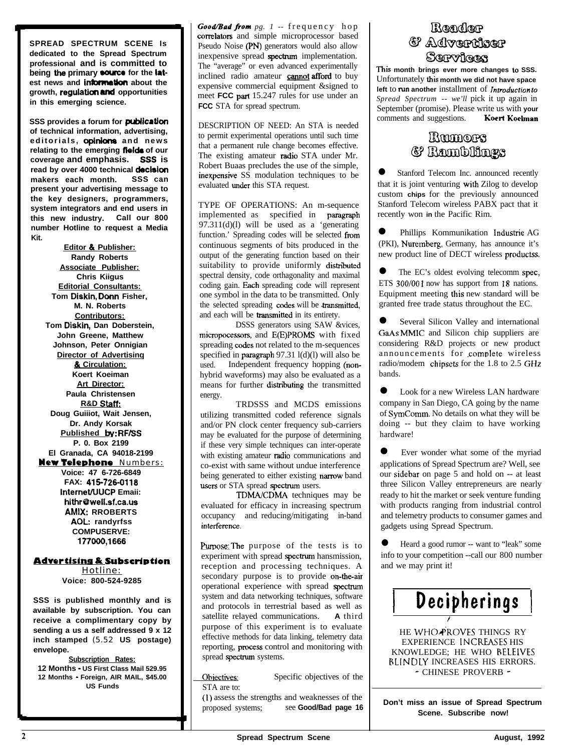**SPREAD SPECTRUM SCENE Is dedicated to the Spread Spectrum professional and is committed to** being the primary **source** for the latest news and **information** about the growth, regulation and opportunities **in this emerging science.**

**SSS provides a forum for publication of technical information, advertising,** editorials, opinions and news **relating to the emerging fieida of our coverage and emphasis. sss is read by over 4000 technical decision makers each month. SSS can present your advertising message to the key designers, programmers, system integrators and end users in this new industry. Call our 800 number Hotline to request a Media Kit.**

**Editor & Publisher: Randy Roberts Associate Publisher: Chris Kiigus Editorial Consultants: Tom Diskin, Dorm Fisher, M. N. Roberts Contributors: Tom Diskin, Dan Doberstein, John Greene, Matthew Johnson, Peter Onnigian Director of Advertisinq & Circulation: Koert Koeiman Art Director: Paula Christensen R&D Staft: Doug Guiiiot, Wait Jensen, Dr. Andy Korsak Published by: RF/SS P. 0. Box 2199 El Granada, CA 94018-2199 New Telephone** Numbers: **Voice: 47 6-726-6849 FAX: 415-726-0118 InternetIUUCP Emaii: hithr@weii.sf.ca.us AMIX: RROBERTS AOL: randyrfss COMPUSERVE: 177000,1666**

**Advertising & Subscription** 

Hotline: **Voice: 800-524-9285**

**SSS is published monthly and is available by subscription. You can receive a complimentary copy by sending a us a self addressed 9 x 12 inch stamped** (5.52 **US postage) envelope.**

**Subscription Rates: 12 Months** - **US First Class Mail 529.95 12 Months - Foreign, AIR MAIL, \$45.00 US Funds**

*Good/Bad from pg. 1 --* frequency hop correlators and simple microprocessor based Pseudo Noise (PN) generators would also allow inexpensive spread spectrum implementation. The "average" or even advanced experimentally inclined radio amateur **cannot afford** to buy expensive commercial equipment &signed to meet **FCC** part 15.247 rules for use under an **FCC** STA for spread spectrum.

DESCRIPTION OF NEED: An STA is needed to permit experimental operations until such time that a permanent rule change becomes effective. The existing amateur **radio** STA under Mr. Robert Buaas precludes the use of the simple, inexpensive SS modulation techniques to be evaluated under this STA request.

TYPE OF OPERATIONS: An m-sequence implemented as specified in paragraph  $97.311(d)(l)$  will be used as a 'generating function.' Spreading codes will be selected from continuous segments of bits produced in the output of the generating function based on their suitability to provide uniformly distributed spectral density, code orthagonality and maximal coding gain. Each spreading code will represent one symbol in the data to be transmitted. Only the selected spreading codes will be transmitted, and each will be transmitted in its entirety.

DSSS generators using SAW &vices, micropocessors, and E(E)PROMS with fixed spreading codes not related to the m-sequences specified in **paragraph** 97.31 l(d)(l) will also be used. Independent frequency hopping (nonhybrid waveforms) may also be evaluated as a means for further distributing the transmitted energy.

TRDSSS and MCDS emissions utilizing transmitted coded reference signals and/or PN clock center frequency sub-carriers may be evaluated for the purpose of determining if these very simple techniques can inter-operate with existing amateur radio communications and co-exist with same without undue interference being generated to either existing narrow band users or STA spread spectrum users.

TDMA/CDMA techniques may be evaluated for efficacy in increasing spectrum occupancy and reducing/mitigating in-band interference.

Purpose: The purpose of the tests is to experiment with spread spectrum hansmission. reception and processing techniques. A secondary purpose is to provide on-the-air operational experience with spread spectxum system and data networking techniques, software and protocols in terrestrial based as well as satellite relayed communications. **A** third purpose of this experiment is to evaluate effective methods for data linking, telemetry data reporting, process control and monitoring with spread spectrum systems.

Objectives: Specific objectives of the STA are to:

(I) assess the strengths and weaknesses of the proposed systems; see **Good/Bad page 16** 

## Rരമരിയുള & Advertiser Services

**This month brings ever more changes 10 SSS.** Unfortunately this **month we did not have space left** to **Nn another** installment of **Inrroducrion to** *Spread Spectrum -- we'll* pick it up again in September (promise). Please write us with **your** comments and suggestions. **Koert Koelman** comments and suggestions.

## I&COMOTS &? Ramblings

Stanford Telecom Inc. announced recently that it is joint venturing wifh Zilog to develop custom **chips** for the previously announced Stanford Telecom wireless PABX pact that it recently won **in** the Pacific Rim.

Phillips Kommunikation Industrie AG (PKI), Nuremberg, Germany, has announce it's new product line of DECT wireless productss.

The EC's oldest evolving telecomm spec, ETS 300/00 <sup>1</sup> now has support from I8 nations. Equipment meeting fhis new standard will be granted free trade status throughout the EC.

Several Silicon Valley and international GaAs MMIC and Silicon chip suppliers are considering R&D projects or new product announcements for complete wireless radio/modem chipsets for the 1.8 to 2.5 GHz bands.

Look for a new Wireless LAN hardware company in San Diego, CA going by the name of SymComm. No details on what they will be doing -- but they claim to have working hardware!

Ever wonder what some of the myriad applications of Spread Spectrum are? Well, see our sidebar on page 5 and hold on -- at least three Silicon Valley entrepreneurs are nearly ready to hit the market or seek venture funding with products ranging from industrial control and telemetry products to consumer games and gadgets using Spread Spectrum.

l Heard a good rumor -- want to "leak" some info to your competition --call our 800 number and we may print it!



HE WHO PROVES THINGS RY EXPERIENCE INCREASES HIS KNOWLEDGE; HE WHO RELElVES RLINDLY INCREASES HIS ERRORS. - CHINESE PROVERB -

**Don't miss an issue of Spread Spectrum Scene. Subscribe now!**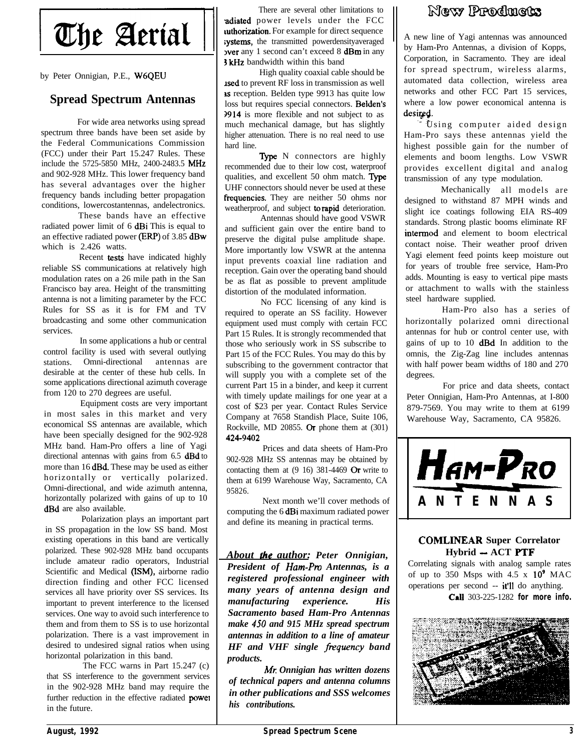# The Aerial

by Peter Onnigian, P.E., W6QEU

#### **Spread Spectrum Antennas**

For wide area networks using spread spectrum three bands have been set aside by the Federal Communications Commission (FCC) under their Part 15.247 Rules. These include the 5725-5850 MHz, 2400-2483.5 MHz and 902-928 MHz. This lower frequency band has several advantages over the higher frequency bands including better propagation conditions, lowercostantennas, andelectronics.

These bands have an effective radiated power limit of 6 dBi This is equal to an effective radiated power (ERP) of 3.85 dBw which is 2.426 watts.

Recent tests have indicated highly reliable SS communications at relatively high modulation rates on a 26 mile path in the San Francisco bay area. Height of the transmitting antenna is not a limiting parameter by the FCC Rules for SS as it is for FM and TV broadcasting and some other communication services.

In some applications a hub or central control facility is used with several outlying stations. Omni-directional antennas are desirable at the center of these hub cells. In some applications directional azimuth coverage from 120 to 270 degrees are useful.

Equipment costs are very important in most sales in this market and very economical SS antennas are available, which have been specially designed for the 902-928 MHz band. Ham-Pro offers a line of Yagi directional antennas with gains from 6.5 dBd to more than 16 dBd. These may be used as either horizontally or vertically polarized. Omni-directional, and wide azimuth antenna, horizontally polarized with gains of up to 10 dBd are also available.

Polarization plays an important part in SS propagation in the low SS band. Most existing operations in this band are vertically polarized. These 902-928 MHz band occupants include amateur radio operators, Industrial Scientific and Medical (ISM), airborne radio direction finding and other FCC licensed services all have priority over SS services. Its important to prevent interference to the licensed services. One way to avoid such interference to them and from them to SS is to use horizontal polarization. There is a vast improvement in desired to undesired signal ratios when using horizontal polarization in this band.

The FCC warns in Part 15.247 (c) that SS interference to the government services in the 902-928 MHz band may require the further reduction in the effective radiated power in the future.

There are several other limitations to adiated power levels under the FCC uthorization. For example for direct sequence systems, the transmitted powerdensityaveraged lver any 1 second can't exceed 8 dBm in any <sup>5</sup> kHz bandwidth within this band

High quality coaxial cable should be used to prevent RF loss in transmission as well s reception. Belden type 9913 has quite low loss but requires special connectors. Beiden's 2914 is more flexible and not subject to as much mechanical damage, but has slightly higher attenuation. There is no real need to use hard line.

Type N connectors are highly recommended due to their low cost, waterproof qualities, and excellent  $50$  ohm match. Type UHF connectors should never be used at these frequencies. They are neither 50 ohms nor weatherproof, and subject to rapid deterioration.

Antennas should have good VSWR and sufficient gain over the entire band to preserve the digital pulse amplitude shape. More importantly low VSWR at the antenna input prevents coaxial line radiation and reception. Gain over the operating band should be as flat as possible to prevent amplitude distortion of the modulated information.

No FCC licensing of any kind is required to operate an SS facility. However equipment used must comply with certain FCC Part 15 Rules. It is strongly recommended that those who seriously work in SS subscribe to Part 15 of the FCC Rules. You may do this by subscribing to the government contractor that will supply you with a complete set of the current Part 15 in a binder, and keep it current with timely update mailings for one year at a cost of \$23 per year. Contact Rules Service Company at 7658 Standish Place, Suite 106, Rockville, MD 20855. Or phone them at (301) 424-9402

Prices and data sheets of Ham-Pro 902-928 MHz SS antennas may be obtained by contacting them at  $(9\ 16)$  381-4469 Or write to them at 6199 Warehouse Way, Sacramento, CA 95826.

Next month we'll cover methods of computing the 6 dBi maximum radiated power and define its meaning in practical terms.

*About he author: Peter Onnigian, President of Ham-Pm Antennas, is a registered professional engineer with many years of antenna design and manufacturing experience. His Sacramento based Ham-Pro Antennas make 450 and 915 MHz spread spectrum antennas in addition to a line of amateur HF and VHF single frequency band products.*

*Mr Onnigian has written dozens of technical papers and antenna columns in other publications and SSS welcomes his contributions.*

## New Prodmets

A new line of Yagi antennas was announced by Ham-Pro Antennas, a division of Kopps, Corporation, in Sacramento. They are ideal for spread spectrum, wireless alarms, automated data collection, wireless area networks and other FCC Part 15 services, where a low power economical antenna is desited.

Using computer aided design Ham-Pro says these antennas yield the highest possible gain for the number of elements and boom lengths. Low VSWR provides excellent digital and analog transmission of any type modulation.

Mechanically all models are designed to withstand 87 MPH winds and slight ice coatings following EIA RS-409 standards. Strong plastic booms eliminate RF intermod and element to boom electrical contact noise. Their weather proof driven Yagi element feed points keep moisture out for years of trouble free service, Ham-Pro adds. Mounting is easy to vertical pipe masts or attachment to walls with the stainless steel hardware supplied.

Ham-Pro also has a series of horizontally polarized omni directional antennas for hub or control center use, with gains of up to 10 **dBd** In addition to the omnis, the Zig-Zag line includes antennas with half power beam widths of 180 and 270 degrees.

For price and data sheets, contact Peter Onnigian, Ham-Pro Antennas, at I-800 879-7569. You may write to them at 6199 Warehouse Way, Sacramento, CA 95826.



#### **COMLINEAR Super Correlator Hybrid - ACT PTF**

Correlating signals with analog sample rates of up to 350 Msps with  $4.5 \times 10^9$  MAC operations per second -- it'll do anything. CaU 303-225-1282 **for more info.**

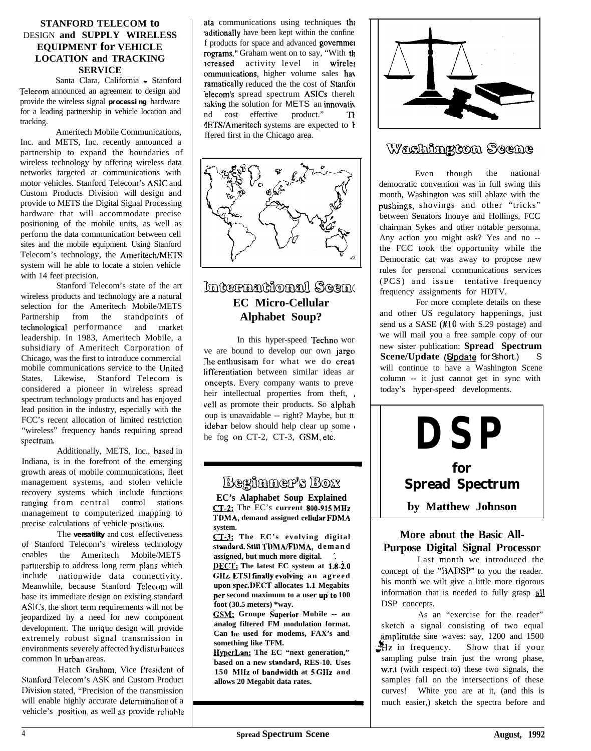#### **STANFORD TELECOM to** DESIGN **and SUPPLY WIRELESS EQUIPMENT for VEHICLE LOCATION and TRACKING SERVICE**

Santa Clara, California - Stanford Telecom announced an agreement to design and provide the wireless signal **processing** hardware for a leading partnership in vehicle location and tracking.

Ameritech Mobile Communications, Inc. and METS, Inc. recently announced a partnership to expand the boundaries of wireless technology by offering wireless data networks targeted at communications with motor vehicles. Stanford Telecom's ASIC and Custom Products Division will design and provide to METS the Digital Signal Processing hardware that will accommodate precise positioning of the mobile units, as well as perform the data communication between cell sites and the mobile equipment. Using Stanford Telecom's technology, the Ameritech/METS system will he able to locate a stolen vehicle with 14 feet precision.

Stanford Telecom's state of the art wireless products and technology are a natural selection for the Ameritech Mobile/METS Partnership from the standpoints of techno1ogical performance and market leadership. In 1983, Ameritech Mobile, a suhsidiary of Ameritech Corporation of Chicago, was the first to introduce commercial mobile communications service to the United States. Likewise, Stanford Telecom is considered a pioneer in wireless spread spectrum technology products and has enjoyed lead position in the industry, especially with the FCC's recent allocation of limited restriction "wireless" frequency hands requiring spread spectrum.

Additionally, METS, Inc., hased in Indiana, is in the forefront of the emerging growth areas of mobile communications, fleet management systems, and stolen vehicle recovery systems which include functions ranging from central control stations management to computerized mapping to precise calculations of vehicle positions.

The **versatility** and cost effectiveness of Stanford Telecom's wireless technology enables the Ameritech Mobile/METS partnership to address long term plans which include nationwide data connectivity. Meanwhile, because Stanford Telecom will base its immediate design on existing standard ASICs, the short term requirements will not be jeopardized hy a need for new component development. The unique design will provide extremely robust signal transmission in environments severely affected hy disturbances common In urban areas.

Hatch Graham, Vice President of Stanford Telecom's ASK and Custom Product Division stated, "Precision of the transmission will enable highly accurate determination of a vehicle's position, as well as provide reliable

ata communications using techniques thi aditionally have been kept within the confine f products for space and advanced governmel rograms." Graham went on to say, "With th acreased activity level in wireles ommunications, higher volume sales hat ramatically reduced the the cost of Stanfor elecom's spread spectrum **ASICs** thereh haking the solution for METS an innovative nd cost effective product." The 4ETSIAmeritech systems are expected to k ffered first in the Chicago area.



## ไกเนินอาจากสูงสังกาลง<mark>ไ เริ</mark>ดลูกก **EC Micro-Cellular Alphabet Soup?**

In this hyper-speed Techno wor ve are bound to develop our own jargo The enthusisam for what we do create lifferentiation between similar ideas ar oncepts. Every company wants to preve heir intellectual properties from theft, veil as promote their products. So alphah oup is unavaidable -- right? Maybe, but tt idebar below should help clear up some he fog on CT-2, CT-3, GSM, etc.

## Beginner's Box

**EC's Alaphabet Soup Explained**<br> **CT-2:** The EC's current 800-915 MHz **CI-2:** The EC's current 800-915 MHz<br>TDMA, demand assigned cellular FDMA<br>system.<br>CI-3: The EC's evolving digital<br>standard Still TDMA/EDMA demand **system.**

**standwd Still TDMAfFDMA, demand assigned, but much more digital. '.**

**DECT**; The latest EC system at 1.8-2.0 **GIIz. ETSI finally evoking an agreed upon spec. DECT allocates 1.1 Megabits** per second maximum to a user up to 100 **foot (30.5 meters) \*way.**

**GSM**; Groupe Superior Mobile -- an **analog filtered FM modulation format. Can be used for modems, FAX's and something like TFM.**

**HyperLan:** The EC "next generation," **based on a new standard, RES-10. Uses 150 hIlIz of bandwjdlh at 5 GIIz and allows 20 Megabit data rates.**



## Washington Scene

Even though the national democratic convention was in full swing this month, Washington was still ablaze with the pushings, shovings and other "tricks" between Senators Inouye and Hollings, FCC chairman Sykes and other notable personna. Any action you might ask? Yes and no - the FCC took the opportunity while the Democratic cat was away to propose new rules for personal communications services (PCS) and issue tentative frequency frequency assignments for HDTV.

For more complete details on these and other US regulatory happenings, just send us a SASE (#10 with S.29 postage) and we will mail you a free sample copy of our new sister publication: **Spread Spectrum Scene/Update** (Spdate for Sshort.) S will continue to have a Washington Scene column -- it just cannot get in sync with today's hyper-speed developments.



#### **More about the Basic All-Purpose Digital Signal Processor**

Last month we introduced the concept of the "HADSP" to you the reader. his month we wilt give a little more rigorous information that is needed to fully grasp  $all$ DSP concepts.

As an "exercise for the reader" sketch a signal consisting of two equal amplitutde sine waves: say, 1200 and 1500  $Hz$  in frequency. Show that if your sampling pulse train just the wrong phase, w.r.t (with respect to) these two signals, the samples fall on the intersections of these curves! White you are at it, (and this is much easier,) sketch the spectra before and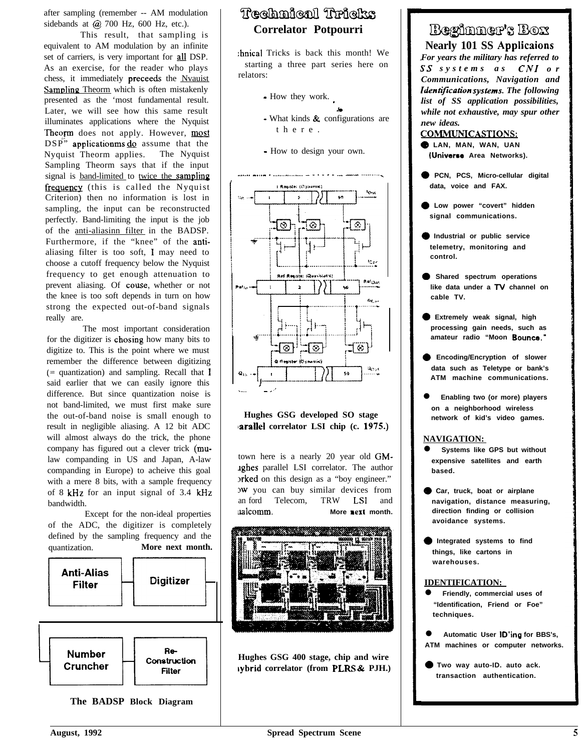after sampling (remember -- AM modulation sidebands at  $\omega$  700 Hz, 600 Hz, etc.).

This result, that sampling is equivalent to AM modulation by an infinite set of carriers, is very important for all DSP. As an exercise, for the reader who plays chess, it immediately preceeds the Nvauist Sampling Theorm which is often mistakenly presented as the 'most fundamental result. Later, we will see how this same result illuminates applications where the Nyquist Theorm does not apply. However, most  $DSP''$  applicationms  $\underline{d}$  assume that the Nyquist Theorm applies. The Nyquist Sampling Theorm says that if the input signal is band-limited to twice the sampling frequency (this is called the Nyquist Criterion) then no information is lost in sampling, the input can be reconstructed perfectly. Band-limiting the input is the job of the anti-aliasinn filter in the BADSP. Furthermore, if the "knee" of the antialiasing filter is too soft, I may need to choose a cutoff frequency below the Nyquist frequency to get enough attenuation to prevent aliasing. Of couse, whether or not the knee is too soft depends in turn on how strong the expected out-of-band signals really are.

The most important consideration for the digitizer is chosing how many bits to digitize to. This is the point where we must remember the difference between digitizing (= quantization) and sampling. Recall that I said earlier that we can easily ignore this difference. But since quantization noise is not band-limited, we must first make sure the out-of-band noise is small enough to result in negligible aliasing. A 12 bit ADC will almost always do the trick, the phone company has figured out a clever trick (mulaw companding in US and Japan, A-law companding in Europe) to acheive this goal with a mere 8 bits, with a sample frequency of 8 kHz for an input signal of 3.4 kHz bandwidth.

Except for the non-ideal properties of the ADC, the digitizer is completely defined by the sampling frequency and the quantization. **More next month.**





**The BADSP Block Diagram**

## Technical Tricks **Correlator Potpourri**

:hnical Tricks is back this month! We starting a three part series here on relators:

- How they work.
- k - What kinds & configurations are there.
- How to design your own.



#### **Hughes GSG developed SO stage larallel correlator LSI chip (c. 1975.)**

town here is a nearly 20 year old GMlghes parallel LSI correlator. The author orked on this design as a "boy engineer." )w you can buy similar devices from an ford Telecom, TRW LSI and ualcomm. **More next month.** 



**Hughes GSG 400 stage, chip and wire lybrid correlator (from PLRS & PJH.)**

## Beginner's Box

**Nearly 101 SS Applicaions** *For years the military has referred to SS systems as CNI or Communications, Navigation and ldentijkation systims. The following list of SS application possibilities, while not exhaustive, may spur other new ideas.*

#### **COMMUNICASTIONS:**

**@ LAN, MAN, WAN, UAN fllniverse Area Networks).**

- **0 PCN, PCS, Micro-cellular digital data, voice and FAX.**
- **0 Low power "covert" hidden signal communications.**
- **@ Industrial or public service telemetry, monitoring and control.**
- **0 Shared spectrum operations like data under a TV channel on cable TV.**
- **0 Extremely weak signal, high processing gain needs, such as amateur radio "Moon Bounca."**
- **Encoding/Encryption of slower data such as Teletype or bank's ATM machine communications.**
- l **Enabling two (or more) players on a neighborhood wireless network of kid's video games.**

#### **NAVIGATION:**

- **Systems like GPS but without expensive satellites and earth based.**
- **@ Car, truck, boat or airplane navigation, distance measuring, direction finding or collision avoidance systems.**
- **D** Integrated systems to find **things, like cartons in warehouses.**

#### **IDENTIFICATION:**

- l **Friendly, commercial uses of "Identification, Friend or Foe" techniques.**
- l **Automatic User ID'ing for BBS's, ATM machines or computer networks.**
- **0 Two way auto-ID. auto ack. transaction authentication.**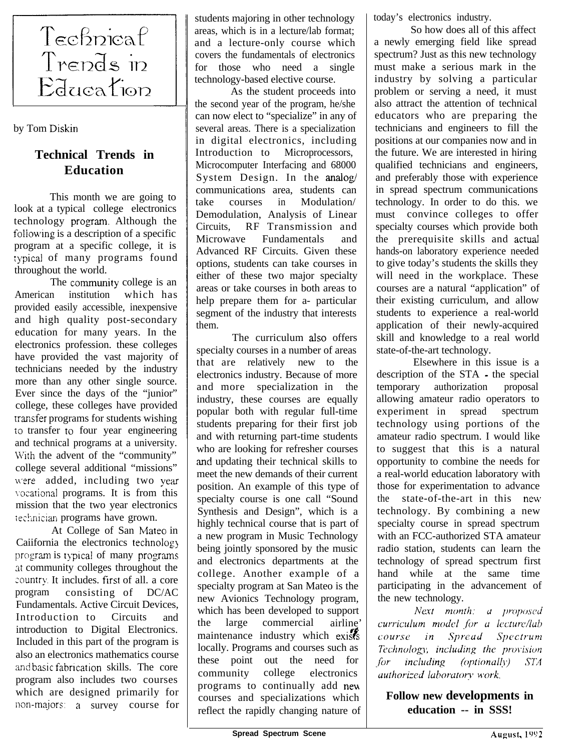

by Tom Diskin

## **Technical Trends in Education**

This month we are going to look at a typical college electronics technology program. Although the following is a description of a specific program at a specific college, it is typical of many programs found throughout the world.

The community college is an American institution which has provided easily accessible, inexpensive and high quality post-secondary education for many years. In the electronics profession. these colleges have provided the vast majority of technicians needed by the industry more than any other single source. Ever since the days of the "junior" college, these colleges have provided transfer programs for students wishing i0 transfer 10 four year engineering and technical programs at a university. With the advent of the "community" college several additional "missions" were added, including two year vocational programs. It is from this mission that the two year electronics technician programs have grown.

At College of San Mateo in Caiifornia the electronics technolog) program is typical of many programs at community colleges throughout the country. It includes. first of all. a core program consisting of DC/AC Fundamentals. Active Circuit Devices, Introduction to Circuits and introduction to Digital Electronics. Included in this part of the program is also an electronics mathematics course and basic fabrication skills. The core program also includes two courses which are designed primarily for non-majors: a survey course for students majoring in other technology areas, which is in a lecture/lab format; and a lecture-only course which covers the fundamentals of electronics for those who need a single technology-based elective course.

As the student proceeds into the second year of the program, he/she can now elect to "specialize" in any of several areas. There is a specialization in digital electronics, including Introduction to Microprocessors, Microcomputer Interfacing and 68000 System Design. In the analog/ communications area, students can take courses in Modulation/ Demodulation, Analysis of Linear Circuits, RF Transmission and Microwave Fundamentals and Advanced RF Circuits. Given these options, students can take courses in either of these two major specialty areas or take courses in both areas to help prepare them for a- particular segment of the industry that interests them.

The curriculum also offers specialty courses in a number of areas that are relatively new to the electronics industry. Because of more and more specialization in the industry, these courses are equally popular both with regular full-time students preparing for their first job and with returning part-time students who are looking for refresher courses 'and updating their technical skills to meet the new demands of their current position. An example of this type of specialty course is one call "Sound Synthesis and Design", which is a highly technical course that is part of a new program in Music Technology being jointly sponsored by the music and electronics departments at the college. Another example of a specialty program at San Mateo is the new Avionics Technology program, which has been developed to support the large commercial airline' maintenance industry which exists locally. Programs and courses such as these point out the need for community college electronics programs to continually add new courses and specializations which reflect the rapidly changing nature of today's electronics industry.

So how does all of this affect a newly emerging field like spread spectrum? Just as this new technology must make a serious mark in the industry by solving a particular problem or serving a need, it must also attract the attention of technical educators who are preparing the technicians and engineers to fill the positions at our companies now and in the future. We are interested in hiring qualified technicians and engineers, and preferably those with experience in spread spectrum communications technology. In order to do this. we must convince colleges to offer specialty courses which provide both the prerequisite skills and actual hands-on laboratory experience needed to give today's students the skills they will need in the workplace. These courses are a natural "application" of their existing curriculum, and allow students to experience a real-world application of their newly-acquired skill and knowledge to a real world state-of-the-art technology.

Elsewhere in this issue is a description of the STA - the special temporary authorization proposal allowing amateur radio operators to experiment in spread spectrum technology using portions of the amateur radio spectrum. I would like to suggest that this is a natural opportunity to combine the needs for a real-world education laboratory with those for experimentation to advance the state-of-the-art in this neur technology. By combining a new specialty course in spread spectrum with an FCC-authorized STA amateur radio station, students can learn the technology of spread spectrum first hand while at the same time participating in the advancement of the new technology.

Next month: a proposed curriculum model for a lecture/lab course in Spread Spectrum Technology, including the provision (optionally)  $for$ including  $STA$ authorized laboratory work.

**Follow new developments in education -- in SSS!**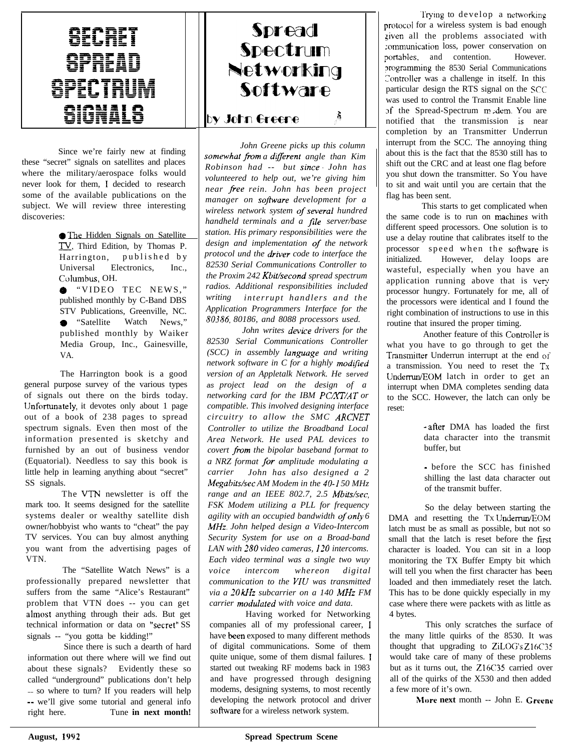## OICRET **SPREAD SPECTRUM aignal a**

Since we're fairly new at finding these "secret" signals on satellites and places where the military/aerospace folks would never look for them, I decided to research some of the available publications on the subject. We will review three interesting discoveries:

> **• The Hidden Signals on Satellite** TV, Third Edition, by Thomas P. Harrington, published by Universal Electronics, Inc., Columbus, OH.

@ "VIDEO TEC NEWS," published monthly by C-Band DBS STV Publications, Greenville, NC. **e** "Satellite Watch News," published monthly by Waiker Media Group, Inc., Gainesville, VA.

The Harrington book is a good general purpose survey of the various types of signals out there on the birds today. lJnfortunately, it devotes only about 1 page out of a book of 238 pages to spread spectrum signals. Even then most of the information presented is sketchy and furnished by an out of business vendor (Equatorial). Needless to say this book is little help in learning anything about "secret" SS signals.

The VTN newsletter is off the mark too. It seems designed for the satellite systems dealer or wealthy satellite dish owner/hobbyist who wants to "cheat" the pay TV services. You can buy almost anything you want from the advertising pages of VTN.

The "Satellite Watch News" is a professionally prepared newsletter that suffers from the same "Alice's Restaurant" problem that VTN does -- you can get almost anything through their ads. But get technical information or data on "secret" SS signals -- "you gotta be kidding!"

Since there is such a dearth of hard information out there where will we find out about these signals? Evidently these so called "underground" publications don't help - so where to turn? If you readers will help -- we'll give some tutorial and general info right here. Tune **in next month!**

## Spread Spectrum Networking Software å. by John Greene

*John Greene picks up this column* somewhat from a different angle than Kim *Robinson had -- but since. John has volunteered to help out, we're giving him near \_f?ee rein. John has been project manager on sojtwure development for a*  $wireless network system of several hundred$ *handheld terminals and a file server/base station. His primary responsibilities were the design and implementation of the network protocol und the driver code to interface the 82530 Serial Communications Controller to the Proxim 242 Kbit/second spread spectrum radios. Additional responsibilities included writing interrupt handlers and the Application Programmers Interface for the SO386, 80186, and 8088 processors used.*

*John writes device drivers for the 82530 Serial Communications Controller (SCC) in assembly lunguage and writing network software in C for a highly modijied version of an Appletalk Network. He served as project lead on the design of a networking card for the IBM PC/XT/AT or compatible. This involved designing interface circuitry to allow the SMC ARCNET Controller to utilize the Broadband Local Area Network. He used PAL devices to covert from the bipolar baseband format to a NRZ format /or amplitude modulating a carrier John has also designed a 2 Megabits/set AM Modem in the 40-I 50 MHz range and an IEEE 802.7, 2.5 Mbits/set, FSK Modem utilizing a PLL for frequency agility with an occupied bandwidth ofonly 6 MHZ. John helped design a Video-Intercom Security System for use on a Broad-band LAN with 280 video cameras, 120 intercoms. Each video terminal was a single two wuy voice intercom whereon digital communication to the VIU was transmitted via a 20 kHz subcarrier on a 140 MHZ FM carrier modulated with voice and data.* 

Having worked for Networking companies all of my professional career, I have been exposed to many different methods of digital communications. Some of them quite unique, some of them dismal failures. I started out tweaking RF modems back in 1983 and have progressed through designing modems, designing systems, to most recently developing the network protocol and driver software for a wireless network system.

I >rotocol for a wireless system is bad enough portables, and contention. However. Trying to develop a networking ziven all the problems associated with :ommunication loss, power conservation on xognmming the 8530 Serial Communications Controller was a challenge in itself. In this particular design the RTS signal on the SCC was used to control the Transmit Enable line sf the Spread-Spectrum midem. You are notified that the transmission is near completion by an Transmitter Underrun interrupt from the SCC. The annoying thing about this is the fact that the 8530 still has to shift out the CRC and at least one flag before you shut down the transmitter. So You have to sit and wait until you are certain that the flag has been sent.

This starts to get complicated when the same code is to run on machines with different speed processors. One solution is to use a delay routine that calibrates itself to the processor speed when the software is initialized. However, delay loops are wasteful, especially when you have an application running above that is very processor hungry. Fortunately for me, all of the processors were identical and I found the right combination of instructions to use in this routine that insured the proper timing.

Another feature of this Controller is what you have to go through to get the Transmitter Underrun interrupt at the end of a transmission. You need to reset the TX Undermn/EOM latch in order to get an interrupt when DMA completes sending data to the SCC. However, the latch can only be reset:

> - after DMA has loaded the first data character into the transmit buffer, but

> - before the SCC has finished shilling the last data character out of the transmit buffer.

So the delay between starting the DMA and resetting the TX Underrun/EOM latch must be as small as possible, but not so small that the latch is reset before the first character is loaded. You can sit in a loop monitoring the TX Buffer Empty bit which will tell you when the first character has been loaded and then immediately reset the latch. This has to be done quickly especially in my case where there were packets with as little as 4 bytes.

This only scratches the surface of the many little quirks of the 8530. It was thought that upgrading to ZiLOG's Z16C35 would take care of many of these problems but as it turns out, the Z16C35 carried over all of the quirks of the X530 and then added a few more of it's own.

Mere **next** month -- John E. Crecne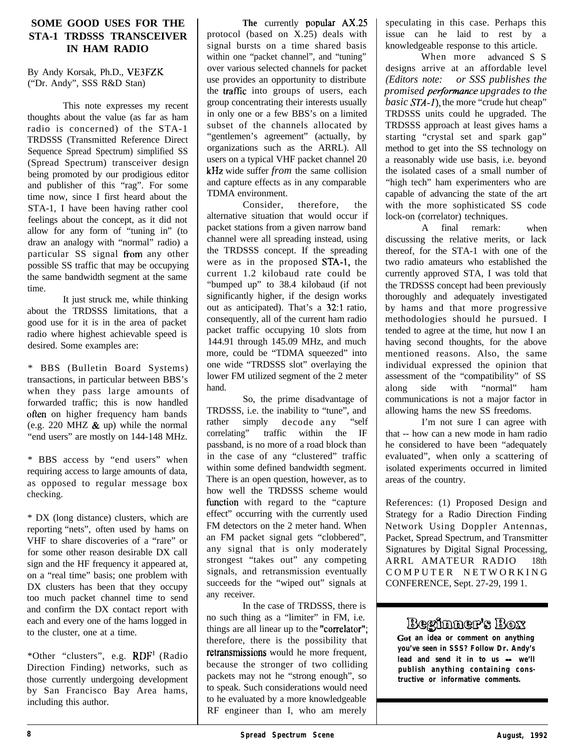#### **SOME GOOD USES FOR THE STA-1 TRDSSS TRANSCEIVER IN HAM RADIO**

By Andy Korsak, Ph.D., VE3FZK ("Dr. Andy", SSS R&D Stan)

This note expresses my recent thoughts about the value (as far as ham radio is concerned) of the STA-1 TRDSSS (Transmitted Reference Direct Sequence Spread Spectrum) simplified SS (Spread Spectrum) transceiver design being promoted by our prodigious editor and publisher of this "rag". For some time now, since I first heard about the STA-1, I have been having rather cool feelings about the concept, as it did not allow for any form of "tuning in" (to draw an analogy with "normal" radio) a particular SS signal from any other possible SS traffic that may be occupying the same bandwidth segment at the same time.

It just struck me, while thinking about the TRDSSS limitations, that a good use for it is in the area of packet radio where highest achievable speed is desired. Some examples are:

\* BBS (Bulletin Board Systems) transactions, in particular between BBS's when they pass large amounts of forwarded traffic; this is now handled often on higher frequency ham bands (e.g. 220 MHZ  $\&$  up) while the normal "end users" are mostly on 144-148 MHz.

\* BBS access by "end users" when requiring access to large amounts of data, as opposed to regular message box checking.

\* DX (long distance) clusters, which are reporting "nets", often used by hams on VHF to share discoveries of a "rare" or for some other reason desirable DX call sign and the HF frequency it appeared at, on a "real time" basis; one problem with DX clusters has been that they occupy too much packet channel time to send and confirm the DX contact report with each and every one of the hams logged in to the cluster, one at a time.

\*Other "clusters", e.g. RDF' (Radio Direction Finding) networks, such as those currently undergoing development by San Francisco Bay Area hams, including this author.

The currently **popular** AX.25 protocol (based on X.25) deals with signal bursts on a time shared basis within one "packet channel", and "tuning" over various selected channels for packet use provides an opportunity to distribute the trafic into groups of users, each group concentrating their interests usually in only one or a few BBS's on a limited subset of the channels allocated by "gentlemen's agreement" (actually, by organizations such as the ARRL). All users on a typical VHF packet channel 20 kHz wide suffer *from* the same collision and capture effects as in any comparable TDMA environment.

Consider, therefore, the alternative situation that would occur if packet stations from a given narrow band channel were all spreading instead, using the TRDSSS concept. If the spreading were as in the proposed STA-1, the current 1.2 kilobaud rate could be "bumped up" to 38.4 kilobaud (if not significantly higher, if the design works out as anticipated). That's a 32:l ratio, consequently, all of the current ham radio packet traffic occupying 10 slots from 144.91 through 145.09 MHz, and much more, could be "TDMA squeezed" into one wide "TRDSSS slot" overlaying the lower FM utilized segment of the 2 meter hand.

So, the prime disadvantage of TRDSSS, i.e. the inability to "tune", and rather simply decode any "self<br>correlating" traffic within the IF traffic within the IF passband, is no more of a road block than in the case of any "clustered" traffic within some defined bandwidth segment. There is an open question, however, as to how well the TRDSSS scheme would function with regard to the "capture effect" occurring with the currently used FM detectors on the 2 meter hand. When an FM packet signal gets "clobbered", any signal that is only moderately strongest "takes out" any competing signals, and retransmission eventually succeeds for the "wiped out" signals at any receiver.

In the case of TRDSSS, there is no such thing as a "limiter" in FM, i.e. things are all linear up to the "correlator"; therefore, there is the possibility that retransmissions would he more frequent, because the stronger of two colliding packets may not he "strong enough", so to speak. Such considerations would need to he evaluated by a more knowledgeable RF engineer than I, who am merely

speculating in this case. Perhaps this issue can he laid to rest by a knowledgeable response to this article.

When more advanced S S designs arrive at an affordable level *(Editors note: or SSS publishes the promised perjonnance upgrades to the basic STA-1*), the more "crude hut cheap" TRDSSS units could he upgraded. The TRDSSS approach at least gives hams a starting "crystal set and spark gap" method to get into the SS technology on a reasonably wide use basis, i.e. beyond the isolated cases of a small number of "high tech" ham experimenters who are capable of advancing the state of the art with the more sophisticated SS code lock-on (correlator) techniques.

A final remark: when discussing the relative merits, or lack thereof, for the STA-1 with one of the two radio amateurs who established the currently approved STA, I was told that the TRDSSS concept had been previously thoroughly and adequately investigated by hams and that more progressive methodologies should he pursued. I tended to agree at the time, hut now I an having second thoughts, for the above mentioned reasons. Also, the same individual expressed the opinion that assessment of the "compatibility" of SS along side with "normal" ham communications is not a major factor in allowing hams the new SS freedoms.

I'm not sure I can agree with that -- how can a new mode in ham radio he considered to have been "adequately evaluated", when only a scattering of isolated experiments occurred in limited areas of the country.

References: (1) Proposed Design and Strategy for a Radio Direction Finding Network Using Doppler Antennas, Packet, Spread Spectrum, and Transmitter Signatures by Digital Signal Processing, ARRL AMATEUR RADIO 18th COMPUTER NETWORKING CONFERENCE, Sept. 27-29, 199 1.

## Beginner's Box

Cot **an idea or comment on anything you've seen in SSS? Follow Dr. Andy's lead and send it in to us - we'll publish anything containing constructive or informative comments.**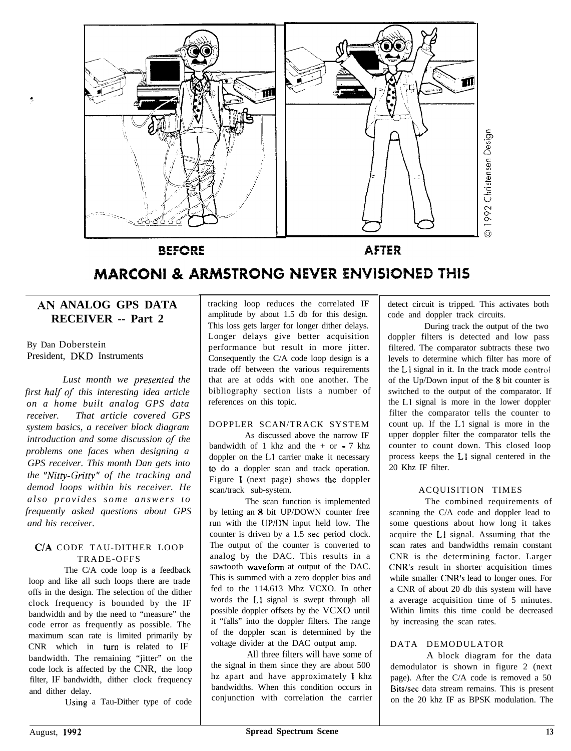

**BEFORE** 

**AFTER** 

## **MARCONI & ARMSTRONG NEVER ENVISIONED THIS**

#### **AII ANALOG GPS DATA RECEIVER -- Part 2**

By Dan Doberstein President, DKD Instruments

*Lust month we presenred the first* half of *this interesting idea article on a home built analog GPS data receiver. That article covered GPS system basics, a receiver block diagram introduction and some discussion* **of** *the problems one faces when designing a GPS receiver. This month Dan gets into the "Nitp-Gn'tty" of the tracking and demod loops within his receiver. He also provides some answers to frequently asked questions about GPS and his receiver.*

#### *C/A* CODE TAU-DITHER LOOP TRADE-OFFS

The C/A code loop is a feedback loop and like all such loops there are trade offs in the design. The selection of the dither clock frequency is bounded by the IF bandwidth and by the need to "measure" the code error as frequently as possible. The maximum scan rate is limited primarily by CNR which in turn is related to IF bandwidth. The remaining "jitter" on the code lock is affected by the CNR, the loop filter, IF bandwidth, dither clock frequency and dither delay.

Using a Tau-Dither type of code

tracking loop reduces the correlated IF amplitude by about 1.5 db for this design. This loss gets larger for longer dither delays. Longer delays give better acquisition performance but result in more jitter. Consequently the C/A code loop design is a trade off between the various requirements that are at odds with one another. The bibliography section lists a number of references on this topic.

#### DOPPLER SCAN/TRACK SYSTEM

As discussed above the narrow IF bandwidth of 1 khz and the  $+$  or  $-7$  khz doppler on the Ll carrier make it necessary to do a doppler scan and track operation. Figure 1 (next page) shows the doppler scan/track sub-system.

The scan function is implemented by letting an 8 bit UP/DOWN counter free run with the UP/DN input held low. The counter is driven by a 1.5 set period clock. The output of the counter is converted to analog by the DAC. This results in a sawtooth waveform at output of the DAC. This is summed with a zero doppler bias and fed to the 114.613 Mhz VCXO. In other words the Ll signal is swept through all possible doppler offsets by the VCXO until it "falls" into the doppler filters. The range of the doppler scan is determined by the voltage divider at the DAC output amp.

All three filters will have some of the signal in them since they are about 500 hz apart and have approximately *l* khz bandwidths. When this condition occurs in conjunction with correlation the carrier

detect circuit is tripped. This activates both code and doppler track circuits.

During track the output of the two doppler filters is detected and low pass filtered. The comparator subtracts these two levels to determine which filter has more of the L1 signal in it. In the track mode control of the Up/Down input of the 8 bit counter is switched to the output of the comparator. If the Ll signal is more in the lower doppler filter the comparator tells the counter to count up. If the Ll signal is more in the upper doppler filter the comparator tells the counter to count down. This closed loop process keeps the Ll signal centered in the 20 Khz IF filter.

#### ACQUISITION TIMES

The combined requirements of scanning the C/A code and doppler lead to some questions about how long it takes acquire the Ll signal. Assuming that the scan rates and bandwidths remain constant CNR is the determining factor. Larger CNR's result in shorter acquisition times while smaller CNR's lead to longer ones. For a CNR of about 20 db this system will have a average acquisition time of 5 minutes. Within limits this time could be decreased by increasing the scan rates.

#### DATA DEMODULATOR

A block diagram for the data demodulator is shown in figure 2 (next page). After the C/A code is removed a 50 Bits/sec data stream remains. This is present on the 20 khz IF as BPSK modulation. The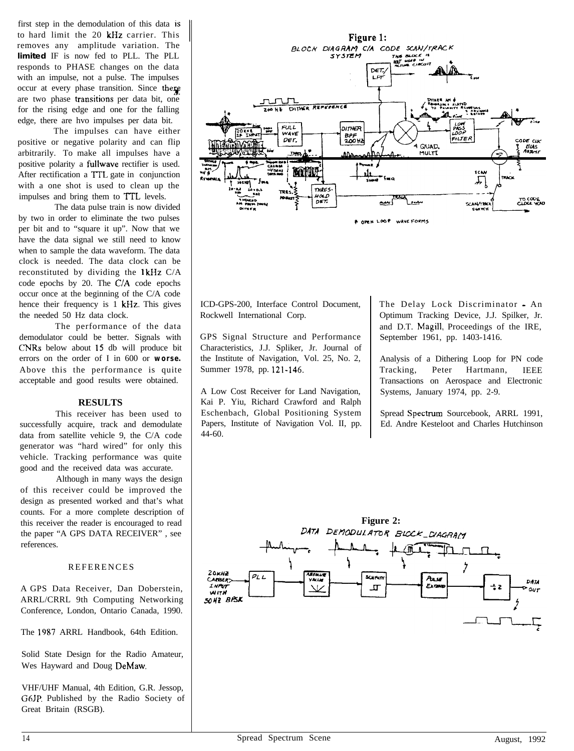first step in the demodulation of this data *is* to hard limit the 20 kHz carrier. This removes any amplitude variation. The **limited** IF is now fed to PLL. The PLL responds to PHASE changes on the data with an impulse, not a pulse. The impulses occur at every phase transition. Since there are two phase transitions per data bit, one for the rising edge and one for the falling edge, there are hvo impulses per data bit.

The impulses can have either positive or negative polarity and can flip arbitrarily. To make all impulses have a positive polarity a fullwave rectifier is used. After rectification a TTL gate in conjunction with a one shot is used to clean up the impulses and bring them to TTL levels.

The data pulse train is now divided by two in order to eliminate the two pulses per bit and to "square it up". Now that we have the data signal we still need to know when to sample the data waveform. The data clock is needed. The data clock can be reconstituted by dividing the  $1kHz$  C/A code epochs by 20. The C/A code epochs occur once at the beginning of the C/A code hence their frequency is 1 kHz. This gives the needed 50 Hz data clock.

The performance of the data demodulator could be better. Signals with CNRs below about I5 db will produce bit errors on the order of I in 600 or *worse.* Above this the performance is quite acceptable and good results were obtained.

#### **RESULTS**

This receiver has been used to successfully acquire, track and demodulate data from satellite vehicle 9, the C/A code generator was "hard wired" for only this vehicle. Tracking performance was quite good and the received data was accurate.

Although in many ways the design of this receiver could be improved the design as presented worked and that's what counts. For a more complete description of this receiver the reader is encouraged to read the paper "A GPS DATA RECEIVER" , see references.

#### REFERENCES

A GPS Data Receiver, Dan Doberstein, ARRL/CRRL 9th Computing Networking Conference, London, Ontario Canada, 1990.

The 1987 ARRL Handbook, 64th Edition.

Solid State Design for the Radio Amateur, Wes Hayward and Doug DeMaw.

VHF/UHF Manual, 4th Edition, G.R. Jessop, G6JP. Published by the Radio Society of Great Britain (RSGB).



ICD-GPS-200, Interface Control Document, Rockwell International Corp.

GPS Signal Structure and Performance Characteristics, J.J. Spliker, Jr. Journal of the Institute of Navigation, Vol. 25, No. 2, Summer 1978, pp. 121-146.

A Low Cost Receiver for Land Navigation, Kai P. Yiu, Richard Crawford and Ralph Eschenbach, Global Positioning System Papers, Institute of Navigation Vol. II, pp. 44-60.

The Delay Lock Discriminator - An Optimum Tracking Device, J.J. Spilker, Jr. and D.T. Magill, Proceedings of the IRE, September 1961, pp. 1403-1416.

Analysis of a Dithering Loop for PN code Tracking, Peter Hartmann, IEEE Transactions on Aerospace and Electronic Systems, January 1974, pp. 2-9.

Spread Spectrum Sourcebook, ARRL 1991, Ed. Andre Kesteloot and Charles Hutchinson

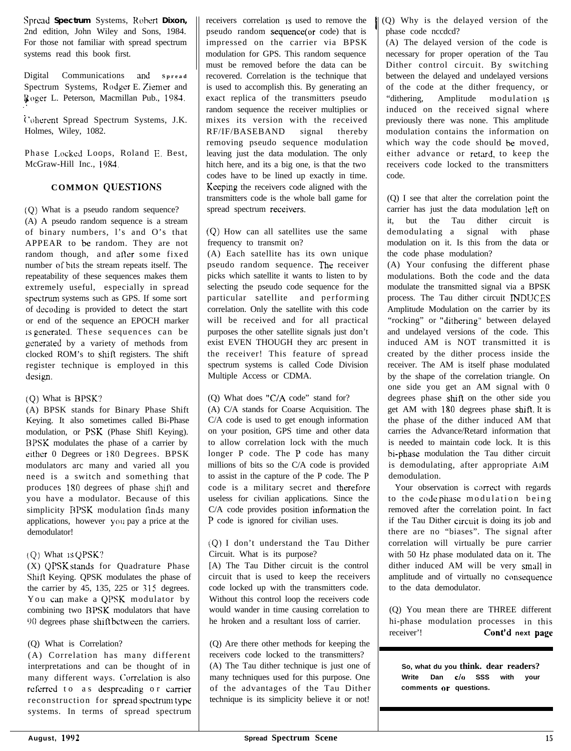**Spred Spectrum** Systems, Rohcrt **Dixon,** 2nd edition, John Wiley and Sons, 1984. For those not familiar with spread spectrum systems read this book first.

Digital Communications **<sup>311</sup> <sup>d</sup> Spread** Spectrum Systems, Rodger E. Ziemer and I\$oger L. Peterson, Macmillan Pub., 1984. :

i'ohercnt Spread Spectrum Systems, J.K. Holmes, Wiley, 1082.

Phase Locked Loops, Roland E. Best, McGraw-Hill Inc., 19x4.

#### **COMMON QUESTIONS**

(Q) What is a pseudo random sequence? (A) A pseudo random sequence is a stream of binary numbers, l's and O's that APPEAR to be random. They are not random though, and after some fixed number of bits the stream repeats itself. The repeatability of these sequences makes them extremely useful, especially in spread spectrum systems such as GPS. If some sort of &coding is provided to detect the start or end of the sequence an EPOCH marker **iS** pencrated. These sequences can be generated by a variety of methods from clocked ROM's to shift registers. The shift register technique is employed in this design.

#### (Q) What is BPSK?

(A) BPSK stands for Binary Phase Shift Keying. It also sometimes called Bi-Phase modulation, or PSK (Phase Shifl Keying). BPSK modulates the phase of a carrier by either 0 Degrees or 180 Degrees. BPSK modulators arc many and varied all you need is a switch and something that produces 180 degrees of phase shift and you have a modulator. Because of this simplicity BPSK modulation finds many applications, however ynu pay a price at the demodulator!

Shift Keying. QPSK modulates the phase of  $\parallel$  circuit that is used to keep the receivers the carrier by 45, 135, 225 or  $315$  degrees. code locked up with the transmitters code. You can make a QPSK modulator by Without this control loop the receivers code combining two BPSK modulators that have would wander in time causing correlation to  $90$  degrees phase shift between the carriers. he hroken and a resultant loss of carrier.

#### (Q) What is Correlation?

(A) Correlation has many different interpretations and can be thought of in many different ways. Correlation is also referred to as despreading or carrier reconstruction for spread spectrum type systems. In terms of spread spectrum

receivers correlation is used to remove the pseudo random sequence(or code) that is impressed on the carrier via BPSK modulation for GPS. This random sequence must be removed before the data can be recovered. Correlation is the technique that is used to accomplish this. By generating an exact replica of the transmitters pseudo random sequence the receiver multiplies or mixes its version with the received RF/IF/BASEBAND signal thereby removing pseudo sequence modulation leaving just the data modulation. The only hitch here, and its a big one, is that the two codes have to be lined up exactly in time. Keeping the receivers code aligned with the transmitters code is the whole ball game for spread spectrum receivers.

((2) How can all satellites use the same frequency to transmit on?

(A) Each satellite has its own unique pseudo random sequence. The receiver picks which satellite it wants to listen to by selecting the pseudo code sequence for the particular satellite and performing correlation. Only the satellite with this code will be received and for all practical purposes the other satellite signals just don't exist EVEN THOUGH they arc present in the receiver! This feature of spread spectrum systems is called Code Division Multiple Access or CDMA.

#### (Q) What does "CIA code" stand for?

(A) C/A stands for Coarse Acquisition. The C/A code is used to get enough information on your position, GPS time and other data to allow correlation lock with the much longer P code. The P code has many millions of bits so the C/A code is provided to assist in the capture of the P code. The P code is a military secret and therefore useless for civilian applications. Since the C/A code provides position information the P code is ignored for civilian uses.

(Q) I don't understand the Tau Dither (Q) What is QPSK? Circuit. What is its purpose?

 $(X)$  QPSK stands for Quadrature Phase [A) The Tau Dither circuit is the control

(Q) Are there other methods for keeping the receivers code locked to the transmitters? (A) The Tau dither technique is just one of many techniques used for this purpose. One of the advantages of the Tau Dither technique is its simplicity believe it or not!

 $\parallel$  (Q) Why is the delayed version of the phase code nccdcd?

(A) The delayed version of the code is necessary for proper operation of the Tau Dither control circuit. By switching between the delayed and undelayed versions of the code at the dither frequency, or "dithering, Amplitude modulation IS induced on the received signal where previously there was none. This amplitude modulation contains the information on which way the code should be moved, either advance or retard, to keep the receivers code locked to the transmitters code.

(Q) I see that alter the correlation point the carrier has just the data modulation left on it, but the Tau dither circuit is demodulating a signal with phase modulation on it. Is this from the data or the code phase modulation?

(A) Your confusing the different phase modulations. Both the code and the data modulate the transmitted signal via a BPSK process. The Tau dither circuit MDIJCES Amplitude Modulation on the carrier by its "rocking" or "dithering" between delayed and undelayed versions of the code. This induced AM is NOT transmitted it is created by the dither process inside the receiver. The AM is itself phase modulated by the shape of the correlation triangle. On one side you get an AM signal with 0 degrees phase shift on the other side you get AM with 180 degrees phase shitt. It is the phase of the dither induced AM that carries the Advance/Retard information that is needed to maintain code lock. It is this bi-phase modulation the Tau dither circuit is demodulating, after appropriate AIM demodulation.

Your observation is correct with regards to the code phase modulation being removed after the correlation point. In fact if the Tau Dither circuit is doing its job and there are no "biases". The signal after correlation will virtually be pure carrier with 50 Hz phase modulated data on it. The dither induced AM will be very smail in amplitude and of virtually no consequence to the data demodulator.

(Q) You mean there are THREE different hi-phase modulation processes in this<br>receiver'! Cont'd next name Cont'd next page

**So, what du you think. dear readers? Write Dan c/o SSS with your comments or questions.**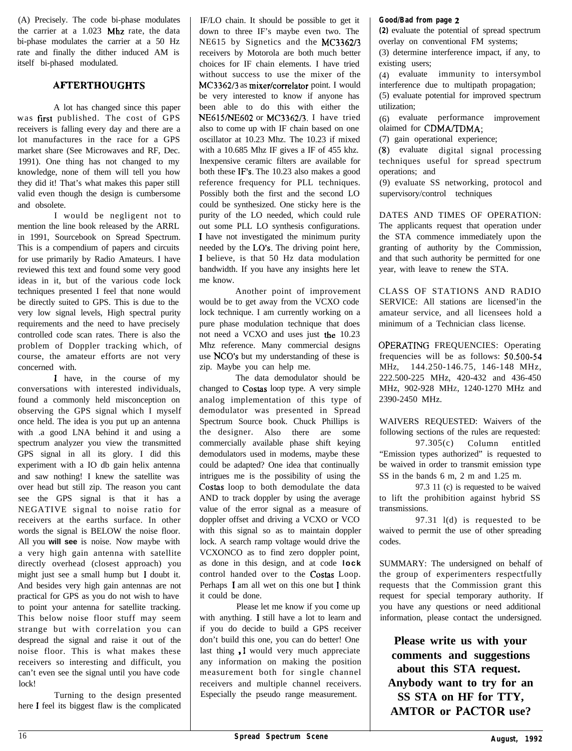(A) Precisely. The code bi-phase modulates the carrier at a 1.023 Mhz rate, the data bi-phase modulates the carrier at a 50 Hz rate and finally the dither induced AM is itself bi-phased modulated.

#### **AFTERTHOUGHTS**

A lot has changed since this paper was first published. The cost of GPS receivers is falling every day and there are a lot manufactures in the race for a GPS market share (See Microwaves and RF, Dec. 1991). One thing has not changed to my knowledge, none of them will tell you how they did it! That's what makes this paper still valid even though the design is cumbersome and obsolete.

I would be negligent not to mention the line book released by the ARRL in 1991, Sourcebook on Spread Spectrum. This is a compendium of papers and circuits for use primarily by Radio Amateurs. I have reviewed this text and found some very good ideas in it, but of the various code lock techniques presented I feel that none would be directly suited to GPS. This is due to the very low signal levels, High spectral purity requirements and the need to have precisely controlled code scan rates. There is also the problem of Doppler tracking which, of course, the amateur efforts are not very concerned with.

I have, in the course of my conversations with interested individuals, found a commonly held misconception on observing the GPS signal which I myself once held. The idea is you put up an antenna with .a good LNA behind it and using a spectrum analyzer you view the transmitted GPS signal in all its glory. I did this experiment with a IO db gain helix antenna and saw nothing! I knew the satellite was over head but still zip. The reason you cant see the GPS signal is that it has a NEGATIVE signal to noise ratio for receivers at the earths surface. In other words the signal is BELOW the noise floor. All you **will see** is noise. Now maybe with a very high gain antenna with satellite directly overhead (closest approach) you might just see a small hump but I doubt it. And besides very high gain antennas are not practical for GPS as you do not wish to have to point your antenna for satellite tracking. This below noise floor stuff may seem strange but with correlation you can despread the signal and raise it out of the noise floor. This is what makes these receivers so interesting and difficult, you can't even see the signal until you have code lock!

Turning to the design presented here I feel its biggest flaw is the complicated

IF/LO chain. It should be possible to get it down to three IF's maybe even two. The NE615 by Signetics and the MC3362/3 receivers by Motorola are both much better choices for IF chain elements. I have tried without success to use the mixer of the MC3362/3 as mixer/correlator point. I would be very interested to know if anyone has been able to do this with either the NE615ME602 or MC3362/3. I have tried also to come up with IF chain based on one oscillator at 10.23 Mhz. The 10.23 if mixed with a 10.685 Mhz IF gives a IF of 455 khz. Inexpensive ceramic filters are available for both these IF's, The 10.23 also makes a good reference frequency for PLL techniques. Possibly both the first and the second LO could be synthesized. One sticky here is the purity of the LO needed, which could rule out some PLL LO synthesis configurations. I have not investigated the minimum purity needed by the LO's. The driving point here, I believe, is that 50 Hz data modulation bandwidth. If you have any insights here let me know.

Another point of improvement would be to get away from the VCXO code lock technique. I am currently working on a pure phase modulation technique that does not need a VCXO and uses just the 10.23 Mhz reference. Many commercial designs use NCO's but my understanding of these is zip. Maybe you can help me.

The data demodulator should be changed to Costas loop type. A very simple analog implementation of this type of demodulator was presented in Spread Spectrum Source book. Chuck Phillips is the designer. Also there are some commercially available phase shift keying demodulators used in modems, maybe these could be adapted? One idea that continually intrigues me is the possibility of using the Costas loop to both demodulate the data AND to track doppler by using the average value of the error signal as a measure of doppler offset and driving a VCXO or VCO with this signal so as to maintain doppler lock. A search ramp voltage would drive the VCXONCO as to find zero doppler point, as done in this design, and at code **lock** control handed over to the Costas Loop. Perhaps I am all wet on this one but 1 think it could be done.

Please let me know if you come up with anything. I still have a lot to learn and if you do decide to build a GPS receiver don't build this one, you can do better! One last thing I would very much appreciate any information on making the position measurement both for single channel receivers and multiple channel receivers. Especially the pseudo range measurement.

#### **Good/Bad from page 2**

**(2)** evaluate the potential of spread spectrum overlay on conventional FM systems;

(3) determine interference impact, if any, to existing users;

(4) evaluate immunity to intersymbol interference due to multipath propagation;

(5) evaluate potential for improved spectrum utilization;

(6) evaluate performance improvement olaimed for CDMA/TDMA:

(7) gain operational experience;

(8) evaluate digital signal processing techniques useful for spread spectrum operations; and

(9) evaluate SS networking, protocol and supervisory/control techniques

DATES AND TIMES OF OPERATION: The applicants request that operation under the STA commence immediately upon the granting of authority by the Commission, and that such authority be permitted for one year, with leave to renew the STA.

CLASS OF STATIONS AND RADIO SERVICE: All stations are licensed'in the amateur service, and all licensees hold a minimum of a Technician class license.

OPERATING FREQUENCIES: Operating frequencies will be as follows: 50.500-54 MHz, 144.250-146.75, 146-148 MHz, 222.500-225 MHz, 420-432 and 436-450 MHz, 902-928 MHZ, 1240-1270 MHz and 2390-2450 MHz.

WAIVERS REQUESTED: Waivers of the following sections of the rules are requested: 97.305(c) Column entitled "Emission types authorized" is requested to be waived in order to transmit emission type SS in the bands 6 m, 2 m and 1.25 m.

97.3 11 (c) is requested to be waived to lift the prohibition against hybrid SS transmissions.

97.31 l(d) is requested to be waived to permit the use of other spreading codes.

SUMMARY: The undersigned on behalf of the group of experimenters respectfully requests that the Commission grant this request for special temporary authority. If you have any questions or need additional information, please contact the undersigned.

**Please write us with your comments and suggestions about this STA request. Anybody want to try for an SS STA on HF for TTY, AMTOR or PACTOR use?**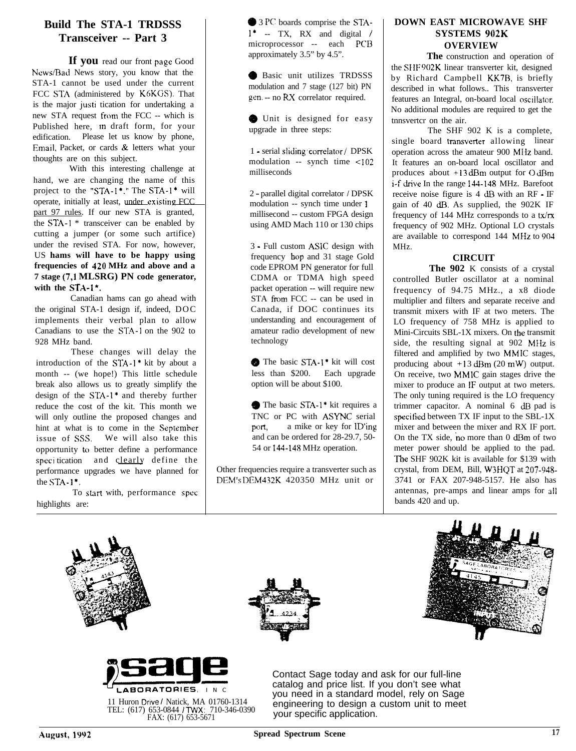#### **Build The STA-1 TRDSSS Transceiver -- Part 3**

If **you** read our front page Good News/Bad News story, you know that the STA-1 cannot be used under the current FCC STA (administered by K6KGS). That is the major justi tication for undertaking a new STA request from the FCC -- which is Published here, m draft form, for your edification. Please let us know by phone, Email, Packet, or cards & letters what your thoughts are on this subject.

With this interesting challenge at hand, we are changing the name of this project to the "STA-I\*." The STA-l\* will operate, initially at least, under existing FCC part 97 rules. If our new STA is granted, the STA-1 \* transceiver can be enabled by cutting a jumper (or some such artifice) under the revised STA. For now, however, US **hams will have to be happy using frequencies of 420 MHz and above and a 7 stage (7,l MLSRG) PN code generator,** with the **STA-1\***.

Canadian hams can go ahead with the original STA-1 design if, indeed, DOC implements their verbal plan to allow Canadians to use the STA-1 on the 902 to 928 MHz band.

These changes will delay the introduction of the STA-I\* kit by about a month -- (we hope!) This little schedule break also allows us to greatly simplify the design of the  $STA-1*$  and thereby further reduce the cost of the kit. This month we will only outline the proposed changes and hint at what is to come in the September issue of SSS. We will also take this opportunity to better define a performance specification and clearly define the performance upgrades we have planned for the  $STA-1$ <sup>\*</sup>.

To start with, performance spec highlights are:

@ 3 PC boards comprise the STA- $1^*$  -- TX, RX and digital / microprocessor -- each PCB approximately 3.5" by 4.5".

@ Basic unit utilizes TRDSSS modulation and 7 stage (127 bit) PN gen. -- no RX correlator required.

@ Unit is designed for easy upgrade in three steps:

1 - serial sliding.correlator / DPSK modulation -- synch time  $\leq 102$ milliseconds

2 - parallel digital correlator / DPSK modulation -- synch time under <sup>1</sup> millisecond -- custom FPGA design using AMD Mach 110 or 130 chips

3 - Full custom ASlC design with frequency hop and 31 stage Gold code EPROM PN generator for full CDMA or TDMA high speed packet operation -- will require new STA from FCC -- can be used in Canada, if DOC continues its understanding and encouragement of amateur radio development of new technology

Q The basic STA-I' kit will cost less than \$200. Each upgrade option will be about \$100.

The basic STA-1<sup>\*</sup> kit requires a TNC or PC with ASYNC serial<br>port, a mike or key for ID'ing a mike or key for ID'ing and can be ordered for 28-29.7, 50- 54 or 144-148 MHz operation.

Other frequencies require a transverter such as DFM's DEM432K 420350 MHz unit or

#### **DOWN EAST MICROWAVE SHF SYSTEMS 902K OVERVIEW**

**The** construction and operation of the SFIF 902K linear transverter kit, designed by Richard Campbell KK7B, is briefly described in what follows.. This transverter features an Integral, on-board local oscillator. No additional modules are required to get the tnnsvertcr on the air.

The SHF 902 K is a complete, single board transverter allowing linear operation across the amateur 900 MIIz band. It features an on-board local oscillator and produces about +13 dBm output for 0 dBm i-f drive In the range 144-148 MHz. Barefoot receive noise figure is 4 dB with an RF - IF gain of 40 dB. As supplied, the 902K IF frequency of 144 MHz corresponds to a tx/rx frequency of 902 MHz. Optional LO crystals are available to correspond 144 MfIz to 904 MHz.

#### **CIRCUIT**

**The 902** K consists of a crystal controlled Butler oscillator at a nominal frequency of 94.75 MHz., a x8 diode multiplier and filters and separate receive and transmit mixers with IF at two meters. The LO frequency of 758 MHz is applied to Mini-Circuits SBL-1X mixers. On the transmit side, the resulting signal at 902 MIfz is filtered and amplified by two MMIC stages, producing about  $+13$  dBm (20 mW) output. On receive, two MMIC gain stages drive the mixer to produce an IF output at two meters. The only tuning required is the LO frequency trimmer capacitor. A nominal 6 dB pad is specified between TX IF input to the SBL-1X mixer and between the mixer and RX IF port. On the TX side, no more than 0 dBm of two meter power should be applied to the pad. The SHF 902K kit is available for \$139 with crystal, from DEM, Bill, W3HQT at 20?-948- 3741 or FAX 207-948-5157. He also has antennas, pre-amps and linear amps for all bands 420 and up.









11 Huron Drive / Natick, MA 01760-1314<br>TEL: (617) 653-0844 / TWX: 710-346-0390<br>FAX: (617) 653-5671

Contact Sage today and ask for our full-line catalog and price list. If you don't see what you need in a standard model, rely on Sage engineering to design a custom unit to meet your specific application.